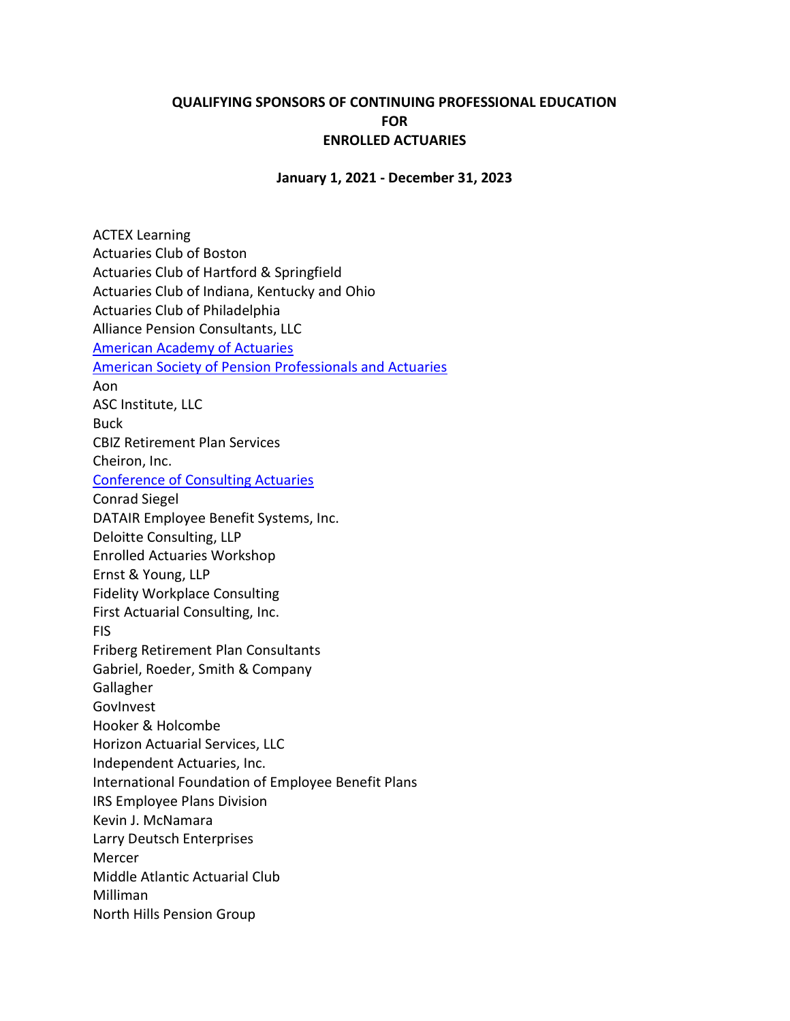## QUALIFYING SPONSORS OF CONTINUING PROFESSIONAL EDUCATION FOR ENROLLED ACTUARIES

January 1, 2021 - December 31, 2023

 ACTEX Learning Actuaries Club of Boston Actuaries Club of Hartford & Springfield Actuaries Club of Indiana, Kentucky and Ohio Actuaries Club of Philadelphia Alliance Pension Consultants, LLC **American Academy of Actuaries**  American Society of Pension Professionals and Actuaries Aon Aon<br>ASC Institute, LLC CBIZ Retirement Plan Services Cheiron, Inc. Conference of Consulting Actuaries Conrad Siegel DATAIR Employee Benefit Systems, Inc. Deloitte Consulting, LLP Enrolled Actuaries Workshop Ernst & Young, LLP Fidelity Workplace Consulting First Actuarial Consulting, Inc. Friberg Retirement Plan Consultants Gabriel, Roeder, Smith & Company Hooker & Holcombe Horizon Actuarial Services, LLC Independent Actuaries, Inc. International Foundation of Employee Benefit Plans IRS Employee Plans Division Kevin J. McNamara Larry Deutsch Enterprises Middle Atlantic Actuarial Club North Hills Pension Group Buck FIS Gallagher GovInvest Mercer Milliman